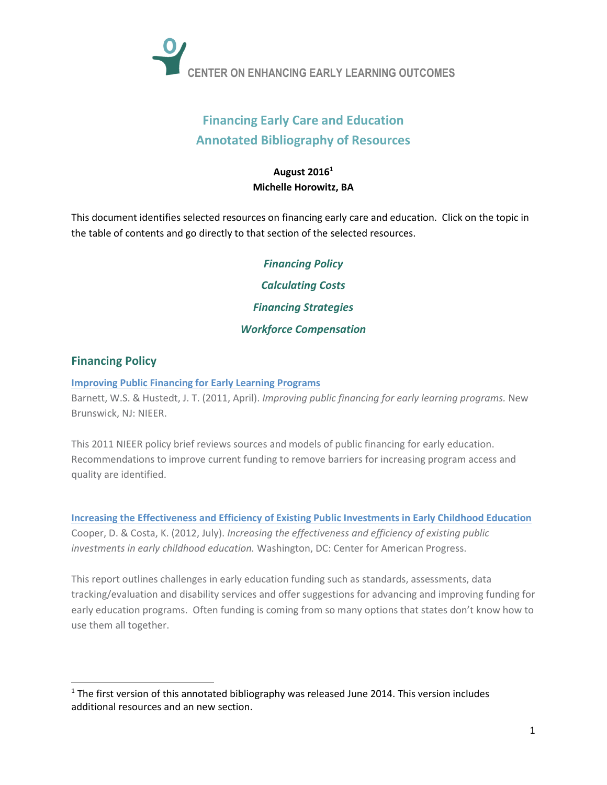

# **Financing Early Care and Education Annotated Bibliography of Resources**

## **August 2016 1 Michelle Horowitz, BA**

This document identifies selected resources on financing early care and education. Click on the topic in the table of contents and go directly to that section of the selected resources.

> <span id="page-0-1"></span>*[Financing Policy](#page-0-0) [Calculating Costs](#page-1-0) [Financing Strategies](#page-2-0) [Workforce Compensation](#page-4-0)*

# <span id="page-0-0"></span>**[Financing Policy](#page-0-0)**

#### **[Improving Public Financing for Early Learning Programs](http://nieer.org/wp-content/uploads/2016/08/26-1.pdf)**

Barnett, W.S. & Hustedt, J. T. (2011, April). *[Improving public financing for early learning programs.](http://nieer.org/resources/policybriefs/24.pdf)* New Brunswick, NJ: NIEER.

This 2011 NIEER policy brief reviews sources and models of public financing for early education. Recommendations to improve current funding to remove barriers for increasing program access and quality are identified.

**[Increasing the Effectiveness and Efficiency of Existing Public Investments in Early Childhood Education](https://www.americanprogress.org/issues/education/reports/2012/06/01/11723/increasing-the-effectiveness-and-efficiency-of-existing-public-investments-in-early-childhood-education/)** Cooper, D. & Costa, K. (2012, July). *Increasing the effectiveness and efficiency of existing public investments in early childhood education.* Washington, DC: Center for American Progress.

This report outlines challenges in early education funding such as standards, assessments, data tracking/evaluation and disability services and offer suggestions for advancing and improving funding for early education programs. Often funding is coming from so many options that states don't know how to use them all together.

 $1$  The first version of this annotated bibliography was released June 2014. This version includes additional resources and an new section.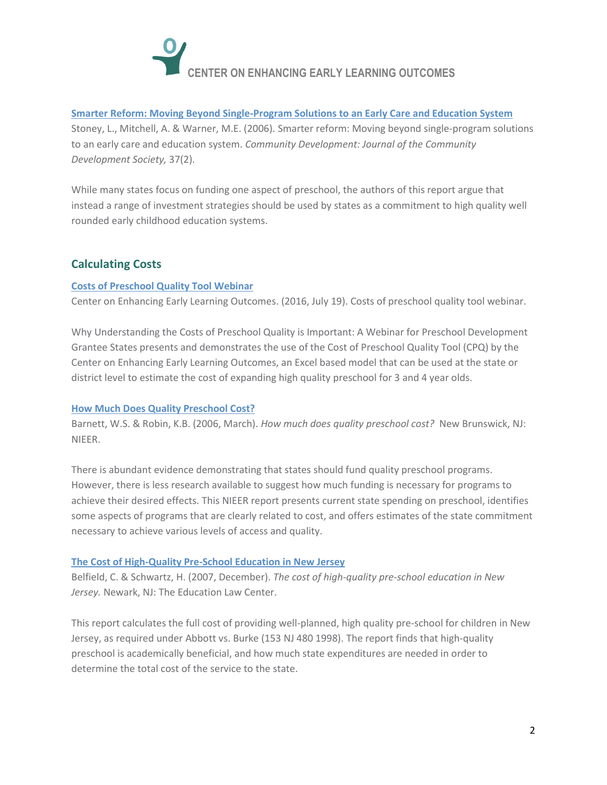

#### **[Smarter Reform: Moving Beyond Single-Program Solutions to an Early Care and Education System](http://www.earlychildhoodfinance.org/downloads/2006/MitchStonSmarterReform_2006.pdf)**

Stoney, L., Mitchell, A. & Warner, M.E. (2006). Smarter reform: Moving beyond single-program solutions to an early care and education system. *Community Development: Journal of the Community Development Society,* 37(2).

While many states focus on funding one aspect of preschool, the authors of this report argue that instead a range of investment strategies should be used by states as a commitment to high quality well rounded early childhood education systems.

# <span id="page-1-0"></span>**[Calculating Costs](#page-0-1)**

#### **[Costs of Preschool Quality Tool Webinar](http://ceelo.org/costs-of-quality-preschool-tool-webinar/)**

Center on Enhancing Early Learning Outcomes. (2016, July 19). Costs of preschool quality tool webinar.

Why Understanding the Costs of Preschool Quality is Important: A Webinar for Preschool Development Grantee States presents and demonstrates the use of the Cost of Preschool Quality Tool (CPQ) by the Center on Enhancing Early Learning Outcomes, an Excel based model that can be used at the state or district level to estimate the cost of expanding high quality preschool for 3 and 4 year olds.

#### **[How Much Does Quality Preschool Cost?](http://nieer.org/publications/nieer-working-papers/how-much-does-quality-preschool-cost)**

Barnett, W.S. & Robin, K.B. (2006, March). *How much does quality preschool cost?* New Brunswick, NJ: NIEER.

There is abundant evidence demonstrating that states should fund quality preschool programs. However, there is less research available to suggest how much funding is necessary for programs to achieve their desired effects. This NIEER report presents current state spending on preschool, identifies some aspects of programs that are clearly related to cost, and offers estimates of the state commitment necessary to achieve various levels of access and quality.

#### **[The Cost of High-Quality Pre-School](http://www.edlawcenter.org/assets/files/pdfs/publications/Cost_of_Preschool_in_NJ_2007.pdf) Education in New Jersey**

Belfield, C. & Schwartz, H. (2007, December). *The cost of high-quality pre-school education in New Jersey.* Newark, NJ: The Education Law Center.

This report calculates the full cost of providing well-planned, high quality pre-school for children in New Jersey, as required under Abbott vs. Burke (153 NJ 480 1998). The report finds that high-quality preschool is academically beneficial, and how much state expenditures are needed in order to determine the total cost of the service to the state.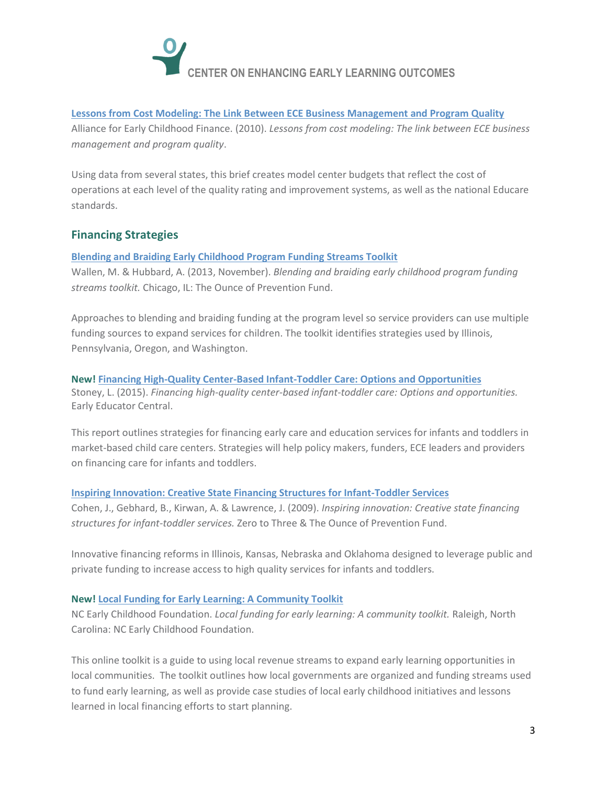

#### **[Lessons from Cost Modeling: The Link Between ECE Business Management and Program Quality](http://www.earlychildhoodfinance.org/downloads/2010/Lessons%20from%20Cost%20Modeling7.27.10.pdf)**

Alliance for Early Childhood Finance. (2010). *Lessons from cost modeling: The link between ECE business management and program quality*.

Using data from several states, this brief creates model center budgets that reflect the cost of operations at each level of the quality rating and improvement systems, as well as the national Educare standards.

## <span id="page-2-0"></span>**Financing Strategies**

#### **[Blending and Braiding Early Childhood Program Funding Streams Toolkit](http://qrisnetwork.org/resource/2013/blending-and-braiding-early-childhood-program-funding-streams-toolkit)**

Wallen, M. & Hubbard, A. (2013, November). *Blending and braiding early childhood program funding streams toolkit.* Chicago, IL: The Ounce of Prevention Fund.

Approaches to blending and braiding funding at the program level so service providers can use multiple funding sources to expand services for children. The toolkit identifies strategies used by Illinois, Pennsylvania, Oregon, and Washington.

#### **New! [Financing High-Quality Center-Based Infant-Toddler Care: Options and Opportunities](https://earlyeducatorcentral.acf.hhs.gov/sites/default/files/public/resources/Financing%20High%20Quality%20Center%20Based%20Infant%20Toddler%20Care%20Options%20and%20Opportunities.pdf)** Stoney, L. (2015). *Financing high-quality center-based infant-toddler care: Options and opportunities.*  Early Educator Central.

This report outlines strategies for financing early care and education services for infants and toddlers in market-based child care centers. Strategies will help policy makers, funders, ECE leaders and providers on financing care for infants and toddlers.

#### **[Inspiring Innovation: Creative State Financing Structures for Infant-Toddler Services](https://www.zerotothree.org/resources/1108-inspiring-innovation-creative-state-financing-structures-for-infants-and-toddlers)**

Cohen, J., Gebhard, B., Kirwan, A. & Lawrence, J. (2009). *Inspiring innovation: Creative state financing structures for infant-toddler services.* Zero to Three & The Ounce of Prevention Fund.

Innovative financing reforms in Illinois, Kansas, Nebraska and Oklahoma designed to leverage public and private funding to increase access to high quality services for infants and toddlers.

#### **New! [Local Funding for Early Learning: A Community Toolkit](http://financingtools.buildthefoundation.org/)**

NC Early Childhood Foundation. *Local funding for early learning: A community toolkit.* Raleigh, North Carolina: NC Early Childhood Foundation.

This online toolkit is a guide to using local revenue streams to expand early learning opportunities in local communities. The toolkit outlines how local governments are organized and funding streams used to fund early learning, as well as provide case studies of local early childhood initiatives and lessons learned in local financing efforts to start planning.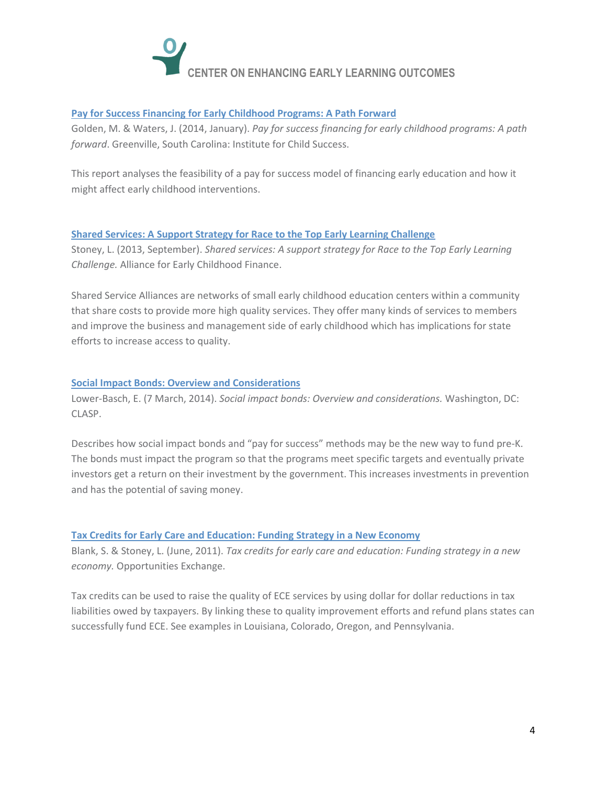

#### **[Pay for Success Financing for Early Childhood Programs: A Path Forward](http://www.payforsuccess.org/sites/default/files/pay_for_success_financing_for_early_childhood_program_0.pdf)**

Golden, M. & Waters, J. (2014, January). *Pay for success financing for early childhood programs: A path forward*. Greenville, South Carolina: Institute for Child Success.

This report analyses the feasibility of a pay for success model of financing early education and how it might affect early childhood interventions.

#### **[Shared Services: A Support Strategy for Race to the Top Early Learning Challenge](http://opportunities-exchange.org/wp-content/uploads/SharedServicesBrief-BUILD.pdf)**

Stoney, L. (2013, September). *Shared services: A support strategy for Race to the Top Early Learning Challenge.* Alliance for Early Childhood Finance.

Shared Service Alliances are networks of small early childhood education centers within a community that share costs to provide more high quality services. They offer many kinds of services to members and improve the business and management side of early childhood which has implications for state efforts to increase access to quality.

#### **[Social Impact Bonds: Overview and Considerations](http://www.clasp.org/resources-and-publications/publication-1/CLASP-Social-Impact-Bonds-SIBs-March-2014.pdf)**

Lower-Basch, E. (7 March, 2014). *Social impact bonds: Overview and considerations.* Washington, DC: CLASP.

Describes how social impact bonds and "pay for success" methods may be the new way to fund pre-K. The bonds must impact the program so that the programs meet specific targets and eventually private investors get a return on their investment by the government. This increases investments in prevention and has the potential of saving money.

#### **Tax Credits for [Early Care and Education: Funding Strategy in a New Economy](http://www.earlychildhoodfinance.org/downloads/2011/OpEx_IssueBrief_Tax_Final1.pdf)**

Blank, S. & Stoney, L. (June, 2011). *Tax credits for early care and education: Funding strategy in a new economy.* Opportunities Exchange.

Tax credits can be used to raise the quality of ECE services by using dollar for dollar reductions in tax liabilities owed by taxpayers. By linking these to quality improvement efforts and refund plans states can successfully fund ECE. See examples in Louisiana, Colorado, Oregon, and Pennsylvania.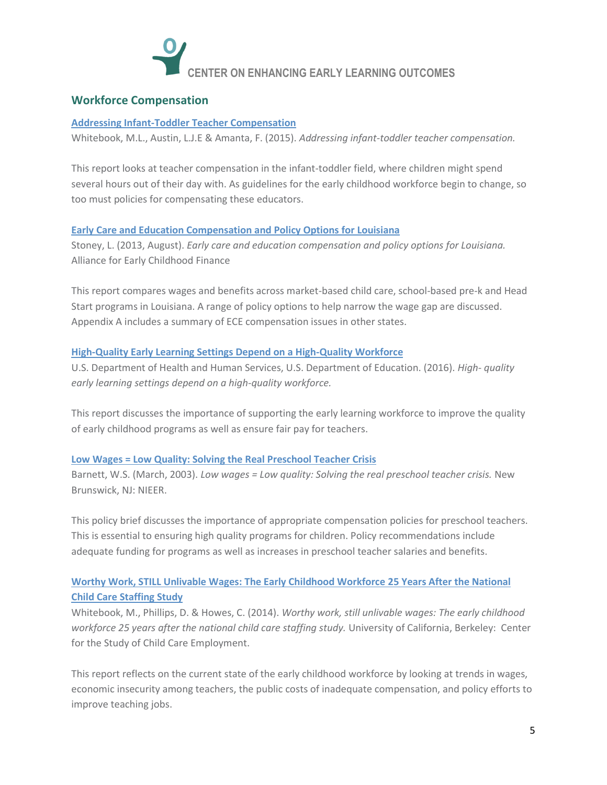

## <span id="page-4-0"></span>**Workforce Compensation**

#### **[Addressing Infant-Toddler Teacher Compensation](https://earlyeducatorcentral.acf.hhs.gov/sites/default/files/public/resources/Addressing%20Infant_Toddler%20Teacher%20Compensation.pdf)**

Whitebook, M.L., Austin, L.J.E & Amanta, F. (2015). *Addressing infant-toddler teacher compensation.* 

This report looks at teacher compensation in the infant-toddler field, where children might spend several hours out of their day with. As guidelines for the early childhood workforce begin to change, so too must policies for compensating these educators.

#### **[Early Care and Education Compensation and Policy Options for Louisiana](http://www.earlychildhoodfinance.org/downloads/2013/Early%20Care%20and%20Education%20Compensation%20and%20Policy%20Options%20for%20Louisiana%20v.%203.pdf)**

Stoney, L. (2013, August). *Early care and education compensation and policy options for Louisiana.*  Alliance for Early Childhood Finance

This report compares wages and benefits across market-based child care, school-based pre-k and Head Start programs in Louisiana. A range of policy options to help narrow the wage gap are discussed. Appendix A includes a summary of ECE compensation issues in other states.

#### **[High-Quality Early Learning Settings Depend on a High-Quality Workforce](http://www2.ed.gov/about/inits/ed/earlylearning/files/ece-low-compensation-undermines-quality-report-2016.pdf)**

U.S. Department of Health and Human Services, U.S. Department of Education. (2016). *High- quality early learning settings depend on a high-quality workforce.*

This report discusses the importance of supporting the early learning workforce to improve the quality of early childhood programs as well as ensure fair pay for teachers.

#### **[Low Wages = Low Quality: Solving the Real Preschool Teacher Crisis](http://nieer.org/resources/policybriefs/3.pdf)**

Barnett, W.S. (March, 2003). *Low wages = Low quality: Solving the real preschool teacher crisis.* New Brunswick, NJ: NIEER.

This policy brief discusses the importance of appropriate compensation policies for preschool teachers. This is essential to ensuring high quality programs for children. Policy recommendations include adequate funding for programs as well as increases in preschool teacher salaries and benefits.

# **[Worthy Work, STILL Unlivable Wages: The Early Childhood Workforce 25 Years After the National](http://cscce.berkeley.edu/files/2014/ReportFINAL.pdf)  [Child Care Staffing Study](http://cscce.berkeley.edu/files/2014/ReportFINAL.pdf)**

Whitebook, M., Phillips, D. & Howes, C. (2014). *Worthy work, still unlivable wages: The early childhood workforce 25 years after the national child care staffing study.* University of California, Berkeley: Center for the Study of Child Care Employment.

This report reflects on the current state of the early childhood workforce by looking at trends in wages, economic insecurity among teachers, the public costs of inadequate compensation, and policy efforts to improve teaching jobs.